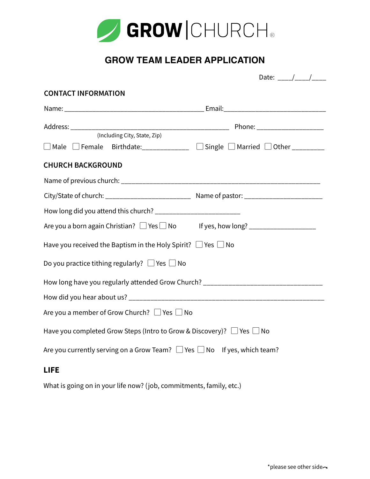

## **GROW TEAM LEADER APPLICATION**

|                                                                                                      | Date: ___/___/___ |
|------------------------------------------------------------------------------------------------------|-------------------|
| <b>CONTACT INFORMATION</b>                                                                           |                   |
|                                                                                                      |                   |
|                                                                                                      |                   |
| (Including City, State, Zip)                                                                         |                   |
| $\Box$ Male $\Box$ Female Birthdate:_____________ $\Box$ Single $\Box$ Married $\Box$ Other ________ |                   |
| <b>CHURCH BACKGROUND</b>                                                                             |                   |
|                                                                                                      |                   |
|                                                                                                      |                   |
| How long did you attend this church? ______________________________                                  |                   |
|                                                                                                      |                   |
| Have you received the Baptism in the Holy Spirit? $\Box$ Yes $\Box$ No                               |                   |
| Do you practice tithing regularly? $\Box$ Yes $\Box$ No                                              |                   |
| How long have you regularly attended Grow Church? ______________________________                     |                   |
|                                                                                                      |                   |
| Are you a member of Grow Church? $\Box$ Yes $\Box$ No                                                |                   |
| Have you completed Grow Steps (Intro to Grow & Discovery)? $\Box$ Yes $\Box$ No                      |                   |
| Are you currently serving on a Grow Team? $\Box$ Yes $\Box$ No $\Box$ If yes, which team?            |                   |
| <b>LIFE</b>                                                                                          |                   |

What is going on in your life now? (job, commitments, family, etc.)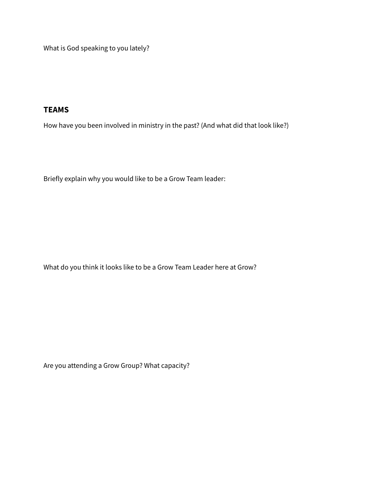What is God speaking to you lately?

## **TEAMS**

How have you been involved in ministry in the past? (And what did that look like?)

Briefly explain why you would like to be a Grow Team leader:

What do you think it looks like to be a Grow Team Leader here at Grow?

Are you attending a Grow Group? What capacity?